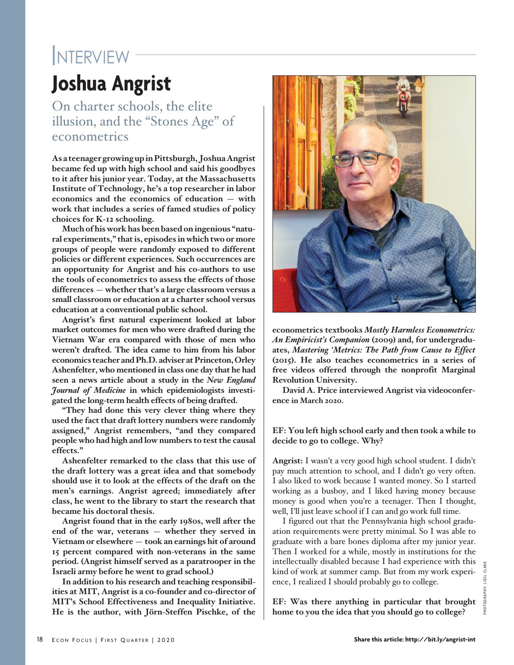# **Joshua Angrist INTERVIEW**

On charter schools, the elite illusion, and the "Stones Age" of econometrics

**As a teenager growing up in Pittsburgh, Joshua Angrist became fed up with high school and said his goodbyes to it after his junior year. Today, at the Massachusetts Institute of Technology, he's a top researcher in labor economics and the economics of education** — **with work that includes a series of famed studies of policy choices for K-12 schooling.** 

**Much of his work has been based on ingenious "natural experiments," that is, episodes in which two or more groups of people were randomly exposed to different policies or different experiences. Such occurrences are an opportunity for Angrist and his co-authors to use the tools of econometrics to assess the effects of those differences** — **whether that's a large classroom versus a small classroom or education at a charter school versus education at a conventional public school.** 

**Angrist's first natural experiment looked at labor market outcomes for men who were drafted during the Vietnam War era compared with those of men who weren't drafted. The idea came to him from his labor economics teacher and Ph.D. adviser at Princeton, Orley Ashenfelter, who mentioned in class one day that he had seen a news article about a study in the** *New England Journal of Medicine* **in which epidemiologists investigated the long-term health effects of being drafted.**

**"They had done this very clever thing where they used the fact that draft lottery numbers were randomly assigned," Angrist remembers, "and they compared people who had high and low numbers to test the causal effects."** 

**Ashenfelter remarked to the class that this use of the draft lottery was a great idea and that somebody should use it to look at the effects of the draft on the men's earnings. Angrist agreed; immediately after class, he went to the library to start the research that became his doctoral thesis.**

**Angrist found that in the early 1980s, well after the end of the war, veterans** — **whether they served in Vietnam or elsewhere** — **took an earnings hit of around 15 percent compared with non-veterans in the same period. (Angrist himself served as a paratrooper in the Israeli army before he went to grad school.)**

**In addition to his research and teaching responsibilities at MIT, Angrist is a co-founder and co-director of MIT's School Effectiveness and Inequality Initiative. He is the author, with Jörn-Steffen Pischke, of the** 



**econometrics textbooks** *Mostly Harmless Econometrics: An Empiricist's Companion* **(2009) and, for undergraduates,** *Mastering 'Metrics: The Path from Cause to Effect* **(2015). He also teaches econometrics in a series of free videos offered through the nonprofit Marginal Revolution University.** 

**David A. Price interviewed Angrist via videoconference in March 2020.**

## **EF: You left high school early and then took a while to decide to go to college. Why?**

**Angrist:** I wasn't a very good high school student. I didn't pay much attention to school, and I didn't go very often. I also liked to work because I wanted money. So I started working as a busboy, and I liked having money because money is good when you're a teenager. Then I thought, well, I'll just leave school if I can and go work full time.

I figured out that the Pennsylvania high school graduation requirements were pretty minimal. So I was able to graduate with a bare bones diploma after my junior year. Then I worked for a while, mostly in institutions for the intellectually disabled because I had experience with this kind of work at summer camp. But from my work experience, I realized I should probably go to college.

**EF: Was there anything in particular that brought home to you the idea that you should go to college?**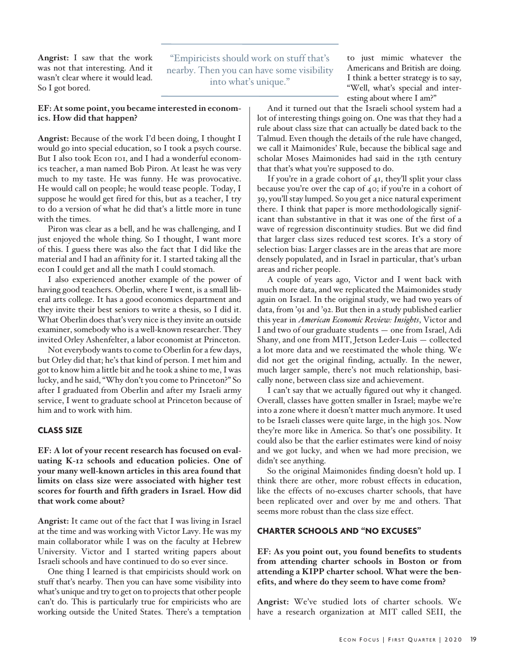**Angrist:** I saw that the work was not that interesting. And it wasn't clear where it would lead. So I got bored.

"Empiricists should work on stuff that's nearby. Then you can have some visibility into what's unique."

to just mimic whatever the Americans and British are doing. I think a better strategy is to say, "Well, what's special and interesting about where I am?"

#### **EF: At some point, you became interested in economics. How did that happen?**

**Angrist:** Because of the work I'd been doing, I thought I would go into special education, so I took a psych course. But I also took Econ 101, and I had a wonderful economics teacher, a man named Bob Piron. At least he was very much to my taste. He was funny. He was provocative. He would call on people; he would tease people. Today, I suppose he would get fired for this, but as a teacher, I try to do a version of what he did that's a little more in tune with the times.

Piron was clear as a bell, and he was challenging, and I just enjoyed the whole thing. So I thought, I want more of this. I guess there was also the fact that I did like the material and I had an affinity for it. I started taking all the econ I could get and all the math I could stomach.

I also experienced another example of the power of having good teachers. Oberlin, where I went, is a small liberal arts college. It has a good economics department and they invite their best seniors to write a thesis, so I did it. What Oberlin does that's very nice is they invite an outside examiner, somebody who is a well-known researcher. They invited Orley Ashenfelter, a labor economist at Princeton.

Not everybody wants to come to Oberlin for a few days, but Orley did that; he's that kind of person. I met him and got to know him a little bit and he took a shine to me, I was lucky, and he said, "Why don't you come to Princeton?" So after I graduated from Oberlin and after my Israeli army service, I went to graduate school at Princeton because of him and to work with him.

# **Class Size**

**EF: A lot of your recent research has focused on evaluating K-12 schools and education policies. One of your many well-known articles in this area found that limits on class size were associated with higher test scores for fourth and fifth graders in Israel. How did that work come about?** 

**Angrist:** It came out of the fact that I was living in Israel at the time and was working with Victor Lavy. He was my main collaborator while I was on the faculty at Hebrew University. Victor and I started writing papers about Israeli schools and have continued to do so ever since.

One thing I learned is that empiricists should work on stuff that's nearby. Then you can have some visibility into what's unique and try to get on to projects that other people can't do. This is particularly true for empiricists who are working outside the United States. There's a temptation

And it turned out that the Israeli school system had a lot of interesting things going on. One was that they had a rule about class size that can actually be dated back to the Talmud. Even though the details of the rule have changed, we call it Maimonides' Rule, because the biblical sage and scholar Moses Maimonides had said in the 13th century that that's what you're supposed to do.

If you're in a grade cohort of 41, they'll split your class because you're over the cap of 40; if you're in a cohort of 39, you'll stay lumped. So you get a nice natural experiment there. I think that paper is more methodologically significant than substantive in that it was one of the first of a wave of regression discontinuity studies. But we did find that larger class sizes reduced test scores. It's a story of selection bias: Larger classes are in the areas that are more densely populated, and in Israel in particular, that's urban areas and richer people.

A couple of years ago, Victor and I went back with much more data, and we replicated the Maimonides study again on Israel. In the original study, we had two years of data, from '91 and '92. But then in a study published earlier this year in *American Economic Review: Insights*, Victor and I and two of our graduate students — one from Israel, Adi Shany, and one from MIT, Jetson Leder-Luis — collected a lot more data and we reestimated the whole thing. We did not get the original finding, actually. In the newer, much larger sample, there's not much relationship, basically none, between class size and achievement.

I can't say that we actually figured out why it changed. Overall, classes have gotten smaller in Israel; maybe we're into a zone where it doesn't matter much anymore. It used to be Israeli classes were quite large, in the high 30s. Now they're more like in America. So that's one possibility. It could also be that the earlier estimates were kind of noisy and we got lucky, and when we had more precision, we didn't see anything.

So the original Maimonides finding doesn't hold up. I think there are other, more robust effects in education, like the effects of no-excuses charter schools, that have been replicated over and over by me and others. That seems more robust than the class size effect.

#### **Charter Schools and "No Excuses"**

**EF: As you point out, you found benefits to students from attending charter schools in Boston or from attending a KIPP charter school. What were the benefits, and where do they seem to have come from?**

**Angrist:** We've studied lots of charter schools. We have a research organization at MIT called SEII, the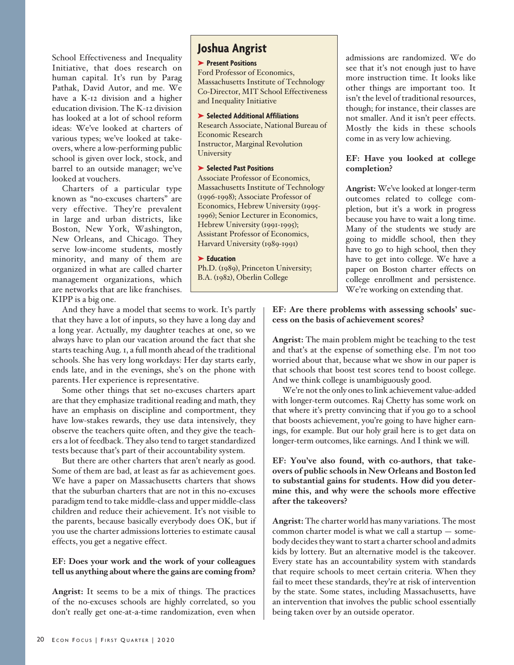School Effectiveness and Inequality Initiative, that does research on human capital. It's run by Parag Pathak, David Autor, and me. We have a K-12 division and a higher education division. The K-12 division has looked at a lot of school reform ideas: We've looked at charters of various types; we've looked at takeovers, where a low-performing public school is given over lock, stock, and barrel to an outside manager; we've looked at vouchers.

Charters of a particular type known as "no-excuses charters" are very effective. They're prevalent in large and urban districts, like Boston, New York, Washington, New Orleans, and Chicago. They serve low-income students, mostly minority, and many of them are organized in what are called charter management organizations, which are networks that are like franchises. KIPP is a big one.

And they have a model that seems to work. It's partly that they have a lot of inputs, so they have a long day and a long year. Actually, my daughter teaches at one, so we always have to plan our vacation around the fact that she starts teaching Aug. 1, a full month ahead of the traditional schools. She has very long workdays: Her day starts early, ends late, and in the evenings, she's on the phone with parents. Her experience is representative.

Some other things that set no-excuses charters apart are that they emphasize traditional reading and math, they have an emphasis on discipline and comportment, they have low-stakes rewards, they use data intensively, they observe the teachers quite often, and they give the teachers a lot of feedback. They also tend to target standardized tests because that's part of their accountability system.

But there are other charters that aren't nearly as good. Some of them are bad, at least as far as achievement goes. We have a paper on Massachusetts charters that shows that the suburban charters that are not in this no-excuses paradigm tend to take middle-class and upper middle-class children and reduce their achievement. It's not visible to the parents, because basically everybody does OK, but if you use the charter admissions lotteries to estimate causal effects, you get a negative effect.

#### **EF: Does your work and the work of your colleagues tell us anything about where the gains are coming from?**

**Angrist:** It seems to be a mix of things. The practices of the no-excuses schools are highly correlated, so you don't really get one-at-a-time randomization, even when

# **Joshua Angrist**

#### ➤ **Present Positions**

Ford Professor of Economics, Massachusetts Institute of Technology Co-Director, MIT School Effectiveness and Inequality Initiative

#### ➤ **Selected Additional Affiliations**

Research Associate, National Bureau of Economic Research Instructor, Marginal Revolution University

#### ➤ **Selected Past Positions**

Associate Professor of Economics, Massachusetts Institute of Technology (1996-1998); Associate Professor of Economics, Hebrew University (1995- 1996); Senior Lecturer in Economics, Hebrew University (1991-1995); Assistant Professor of Economics, Harvard University (1989-1991)

#### ➤ **Education**

Ph.D. (1989), Princeton University; B.A. (1982), Oberlin College

admissions are randomized. We do see that it's not enough just to have more instruction time. It looks like other things are important too. It isn't the level of traditional resources, though; for instance, their classes are not smaller. And it isn't peer effects. Mostly the kids in these schools come in as very low achieving.

## **EF: Have you looked at college completion?**

**Angrist:** We've looked at longer-term outcomes related to college completion, but it's a work in progress because you have to wait a long time. Many of the students we study are going to middle school, then they have to go to high school, then they have to get into college. We have a paper on Boston charter effects on college enrollment and persistence. We're working on extending that.

## **EF: Are there problems with assessing schools' success on the basis of achievement scores?**

**Angrist:** The main problem might be teaching to the test and that's at the expense of something else. I'm not too worried about that, because what we show in our paper is that schools that boost test scores tend to boost college. And we think college is unambiguously good.

We're not the only ones to link achievement value-added with longer-term outcomes. Raj Chetty has some work on that where it's pretty convincing that if you go to a school that boosts achievement, you're going to have higher earnings, for example. But our holy grail here is to get data on longer-term outcomes, like earnings. And I think we will.

**EF: You've also found, with co-authors, that takeovers of public schools in New Orleans and Boston led to substantial gains for students. How did you determine this, and why were the schools more effective after the takeovers?**

**Angrist:** The charter world has many variations. The most common charter model is what we call a startup — somebody decides they want to start a charter school and admits kids by lottery. But an alternative model is the takeover. Every state has an accountability system with standards that require schools to meet certain criteria. When they fail to meet these standards, they're at risk of intervention by the state. Some states, including Massachusetts, have an intervention that involves the public school essentially being taken over by an outside operator.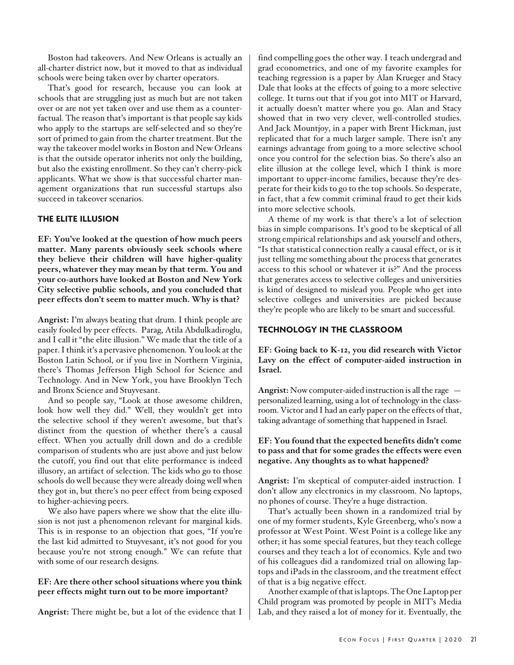Boston had takeovers. And New Orleans is actually an all-charter district now, but it moved to that as individual schools were being taken over by charter operators.

That's good for research, because you can look at schools that are struggling just as much but are not taken over or are not yet taken over and use them as a counterfactual. The reason that's important is that people say kids who apply to the startups are self-selected and so they're sort of primed to gain from the charter treatment. But the way the takeover model works in Boston and New Orleans is that the outside operator inherits not only the building, but also the existing enrollment. So they can't cherry-pick applicants. What we show is that successful charter management organizations that run successful startups also succeed in takeover scenarios.

#### **The Elite Illusion**

**EF: You've looked at the question of how much peers matter. Many parents obviously seek schools where they believe their children will have higher-quality peers, whatever they may mean by that term. You and your co-authors have looked at Boston and New York City selective public schools, and you concluded that peer effects don't seem to matter much. Why is that?** 

**Angrist:** I'm always beating that drum. I think people are easily fooled by peer effects. Parag, Atila Abdulkadiroglu, and I call it "the elite illusion." We made that the title of a paper. I think it's a pervasive phenomenon. You look at the Boston Latin School, or if you live in Northern Virginia, there's Thomas Jefferson High School for Science and Technology. And in New York, you have Brooklyn Tech and Bronx Science and Stuyvesant.

And so people say, "Look at those awesome children, look how well they did." Well, they wouldn't get into the selective school if they weren't awesome, but that's distinct from the question of whether there's a causal effect. When you actually drill down and do a credible comparison of students who are just above and just below the cutoff, you find out that elite performance is indeed illusory, an artifact of selection. The kids who go to those schools do well because they were already doing well when they got in, but there's no peer effect from being exposed to higher-achieving peers.

We also have papers where we show that the elite illusion is not just a phenomenon relevant for marginal kids. This is in response to an objection that goes, "If you're the last kid admitted to Stuyvesant, it's not good for you because you're not strong enough." We can refute that with some of our research designs.

## **EF: Are there other school situations where you think peer effects might turn out to be more important?**

**Angrist:** There might be, but a lot of the evidence that I

find compelling goes the other way. I teach undergrad and grad econometrics, and one of my favorite examples for teaching regression is a paper by Alan Krueger and Stacy Dale that looks at the effects of going to a more selective college. It turns out that if you got into MIT or Harvard, it actually doesn't matter where you go. Alan and Stacy showed that in two very clever, well-controlled studies. And Jack Mountjoy, in a paper with Brent Hickman, just replicated that for a much larger sample. There isn't any earnings advantage from going to a more selective school once you control for the selection bias. So there's also an elite illusion at the college level, which I think is more important to upper-income families, because they're desperate for their kids to go to the top schools. So desperate, in fact, that a few commit criminal fraud to get their kids into more selective schools.

A theme of my work is that there's a lot of selection bias in simple comparisons. It's good to be skeptical of all strong empirical relationships and ask yourself and others, "Is that statistical connection really a causal effect, or is it just telling me something about the process that generates access to this school or whatever it is?" And the process that generates access to selective colleges and universities is kind of designed to mislead you. People who get into selective colleges and universities are picked because they're people who are likely to be smart and successful.

# **Technology in the Classroom**

**EF: Going back to K-12, you did research with Victor Lavy on the effect of computer-aided instruction in Israel.**

**Angrist:** Now computer-aided instruction is all the rage personalized learning, using a lot of technology in the classroom. Victor and I had an early paper on the effects of that, taking advantage of something that happened in Israel.

# **EF: You found that the expected benefits didn't come to pass and that for some grades the effects were even negative. Any thoughts as to what happened?**

**Angrist:** I'm skeptical of computer-aided instruction. I don't allow any electronics in my classroom. No laptops, no phones of course. They're a huge distraction.

That's actually been shown in a randomized trial by one of my former students, Kyle Greenberg, who's now a professor at West Point. West Point is a college like any other; it has some special features, but they teach college courses and they teach a lot of economics. Kyle and two of his colleagues did a randomized trial on allowing laptops and iPads in the classroom, and the treatment effect of that is a big negative effect.

Another example of that is laptops. The One Laptop per Child program was promoted by people in MIT's Media Lab, and they raised a lot of money for it. Eventually, the